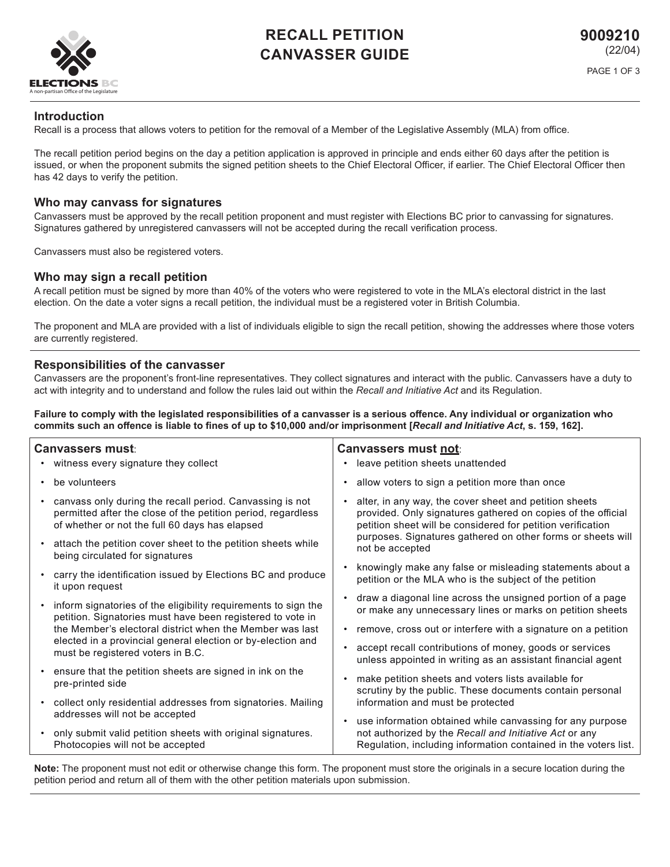

# **RECALL PETITION CANVASSER GUIDE**

# **Introduction**

Recall is a process that allows voters to petition for the removal of a Member of the Legislative Assembly (MLA) from office.

The recall petition period begins on the day a petition application is approved in principle and ends either 60 days after the petition is issued, or when the proponent submits the signed petition sheets to the Chief Electoral Officer, if earlier. The Chief Electoral Officer then has 42 days to verify the petition.

# **Who may canvass for signatures**

Canvassers must be approved by the recall petition proponent and must register with Elections BC prior to canvassing for signatures. Signatures gathered by unregistered canvassers will not be accepted during the recall verification process.

Canvassers must also be registered voters.

## **Who may sign a recall petition**

A recall petition must be signed by more than 40% of the voters who were registered to vote in the MLA's electoral district in the last election. On the date a voter signs a recall petition, the individual must be a registered voter in British Columbia.

The proponent and MLA are provided with a list of individuals eligible to sign the recall petition, showing the addresses where those voters are currently registered.

## **Responsibilities of the canvasser**

Canvassers are the proponent's front-line representatives. They collect signatures and interact with the public. Canvassers have a duty to act with integrity and to understand and follow the rules laid out within the *Recall and Initiative Act* and its Regulation.

**Failure to comply with the legislated responsibilities of a canvasser is a serious offence. Any individual or organization who commits such an offence is liable to fines of up to \$10,000 and/or imprisonment [***Recall and Initiative Act***, s. 159, 162].**

| <b>Canvassers must</b> : |                                                                                                                                                                                                                                                                                                | <b>Canvassers must not:</b> |                                                                                                                                                                                                                                                                         |
|--------------------------|------------------------------------------------------------------------------------------------------------------------------------------------------------------------------------------------------------------------------------------------------------------------------------------------|-----------------------------|-------------------------------------------------------------------------------------------------------------------------------------------------------------------------------------------------------------------------------------------------------------------------|
|                          | • witness every signature they collect                                                                                                                                                                                                                                                         | $\bullet$                   | leave petition sheets unattended                                                                                                                                                                                                                                        |
|                          | • be volunteers                                                                                                                                                                                                                                                                                | ٠                           | allow voters to sign a petition more than once                                                                                                                                                                                                                          |
|                          | • canvass only during the recall period. Canvassing is not<br>permitted after the close of the petition period, regardless<br>of whether or not the full 60 days has elapsed                                                                                                                   |                             | alter, in any way, the cover sheet and petition sheets<br>provided. Only signatures gathered on copies of the official<br>petition sheet will be considered for petition verification<br>purposes. Signatures gathered on other forms or sheets will<br>not be accepted |
|                          | • attach the petition cover sheet to the petition sheets while<br>being circulated for signatures                                                                                                                                                                                              |                             |                                                                                                                                                                                                                                                                         |
|                          | • carry the identification issued by Elections BC and produce<br>it upon request                                                                                                                                                                                                               | $\bullet$                   | knowingly make any false or misleading statements about a<br>petition or the MLA who is the subject of the petition                                                                                                                                                     |
|                          | • inform signatories of the eligibility requirements to sign the<br>petition. Signatories must have been registered to vote in<br>the Member's electoral district when the Member was last<br>elected in a provincial general election or by-election and<br>must be registered voters in B.C. | $\bullet$                   | draw a diagonal line across the unsigned portion of a page<br>or make any unnecessary lines or marks on petition sheets                                                                                                                                                 |
|                          |                                                                                                                                                                                                                                                                                                | ٠<br>$\bullet$              | remove, cross out or interfere with a signature on a petition                                                                                                                                                                                                           |
|                          |                                                                                                                                                                                                                                                                                                |                             | accept recall contributions of money, goods or services<br>unless appointed in writing as an assistant financial agent                                                                                                                                                  |
|                          | • ensure that the petition sheets are signed in ink on the<br>pre-printed side                                                                                                                                                                                                                 |                             | make petition sheets and voters lists available for<br>scrutiny by the public. These documents contain personal                                                                                                                                                         |
|                          | • collect only residential addresses from signatories. Mailing                                                                                                                                                                                                                                 |                             | information and must be protected                                                                                                                                                                                                                                       |
|                          | addresses will not be accepted                                                                                                                                                                                                                                                                 | $\bullet$                   | use information obtained while canvassing for any purpose                                                                                                                                                                                                               |
|                          | • only submit valid petition sheets with original signatures.<br>Photocopies will not be accepted                                                                                                                                                                                              |                             | not authorized by the Recall and Initiative Act or any<br>Regulation, including information contained in the voters list.                                                                                                                                               |

**Note:** The proponent must not edit or otherwise change this form. The proponent must store the originals in a secure location during the petition period and return all of them with the other petition materials upon submission.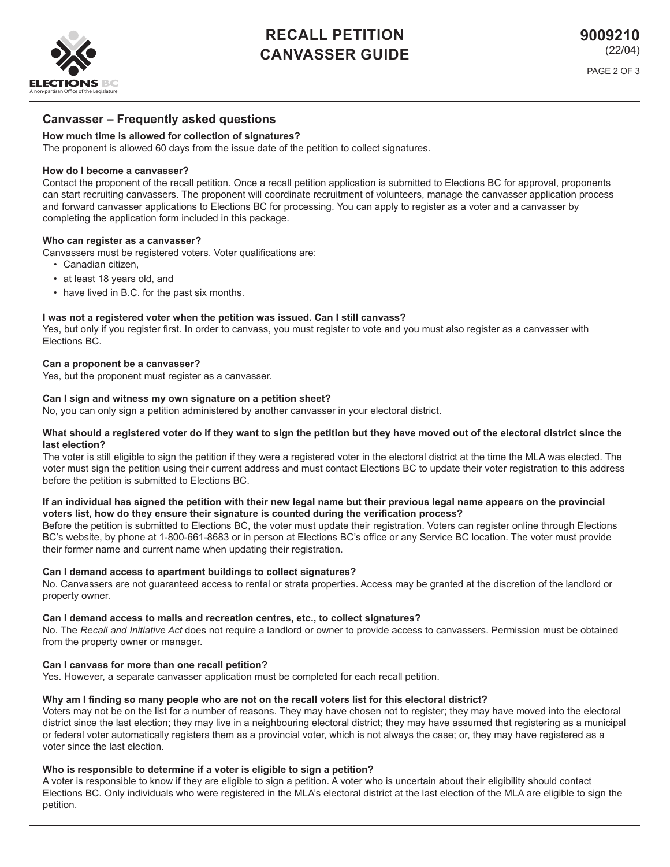

# **RECALL PETITION CANVASSER GUIDE**

# **Canvasser – Frequently asked questions**

## **How much time is allowed for collection of signatures?**

The proponent is allowed 60 days from the issue date of the petition to collect signatures.

### **How do I become a canvasser?**

Contact the proponent of the recall petition. Once a recall petition application is submitted to Elections BC for approval, proponents can start recruiting canvassers. The proponent will coordinate recruitment of volunteers, manage the canvasser application process and forward canvasser applications to Elections BC for processing. You can apply to register as a voter and a canvasser by completing the application form included in this package.

### **Who can register as a canvasser?**

Canvassers must be registered voters. Voter qualifications are:

- Canadian citizen,
- at least 18 years old, and
- have lived in B.C. for the past six months.

#### **I was not a registered voter when the petition was issued. Can I still canvass?**

Yes, but only if you register first. In order to canvass, you must register to vote and you must also register as a canvasser with Elections BC.

#### **Can a proponent be a canvasser?**

Yes, but the proponent must register as a canvasser.

#### **Can I sign and witness my own signature on a petition sheet?**

No, you can only sign a petition administered by another canvasser in your electoral district.

#### **What should a registered voter do if they want to sign the petition but they have moved out of the electoral district since the last election?**

The voter is still eligible to sign the petition if they were a registered voter in the electoral district at the time the MLA was elected. The voter must sign the petition using their current address and must contact Elections BC to update their voter registration to this address before the petition is submitted to Elections BC.

#### **If an individual has signed the petition with their new legal name but their previous legal name appears on the provincial voters list, how do they ensure their signature is counted during the verification process?**

Before the petition is submitted to Elections BC, the voter must update their registration. Voters can register online through Elections BC's website, by phone at 1-800-661-8683 or in person at Elections BC's office or any Service BC location. The voter must provide their former name and current name when updating their registration.

### **Can I demand access to apartment buildings to collect signatures?**

No. Canvassers are not guaranteed access to rental or strata properties. Access may be granted at the discretion of the landlord or property owner.

### **Can I demand access to malls and recreation centres, etc., to collect signatures?**

No. The *Recall and Initiative Act* does not require a landlord or owner to provide access to canvassers. Permission must be obtained from the property owner or manager.

### **Can I canvass for more than one recall petition?**

Yes. However, a separate canvasser application must be completed for each recall petition.

### **Why am I finding so many people who are not on the recall voters list for this electoral district?**

Voters may not be on the list for a number of reasons. They may have chosen not to register; they may have moved into the electoral district since the last election; they may live in a neighbouring electoral district; they may have assumed that registering as a municipal or federal voter automatically registers them as a provincial voter, which is not always the case; or, they may have registered as a voter since the last election.

#### **Who is responsible to determine if a voter is eligible to sign a petition?**

A voter is responsible to know if they are eligible to sign a petition. A voter who is uncertain about their eligibility should contact Elections BC. Only individuals who were registered in the MLA's electoral district at the last election of the MLA are eligible to sign the petition.